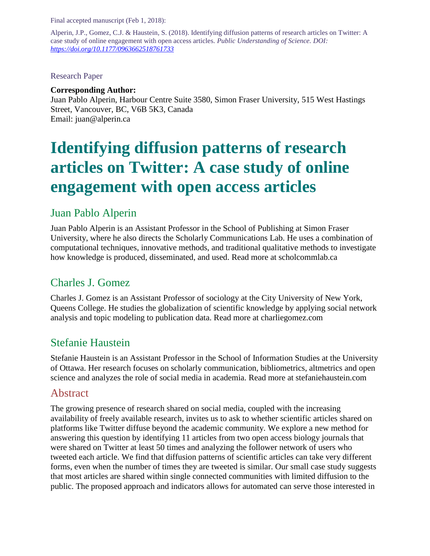Final accepted manuscript (Feb 1, 2018):

Alperin, J.P., Gomez, C.J. & Haustein, S. (2018). Identifying diffusion patterns of research articles on Twitter: A case study of online engagement with open access articles. *Public Understanding of Science. DOI: <https://doi.org/10.1177/0963662518761733>*

Research Paper

#### **Corresponding Author:**

Juan Pablo Alperin, Harbour Centre Suite 3580, Simon Fraser University, 515 West Hastings Street, Vancouver, BC, V6B 5K3, Canada Email: juan@alperin.ca

# **Identifying diffusion patterns of research articles on Twitter: A case study of online engagement with open access articles**

# Juan Pablo Alperin

Juan Pablo Alperin is an Assistant Professor in the School of Publishing at Simon Fraser University, where he also directs the Scholarly Communications Lab. He uses a combination of computational techniques, innovative methods, and traditional qualitative methods to investigate how knowledge is produced, disseminated, and used. Read more at scholcommlab.ca

# Charles J. Gomez

Charles J. Gomez is an Assistant Professor of sociology at the City University of New York, Queens College. He studies the globalization of scientific knowledge by applying social network analysis and topic modeling to publication data. Read more at charliegomez.com

# Stefanie Haustein

Stefanie Haustein is an Assistant Professor in the School of Information Studies at the University of Ottawa. Her research focuses on scholarly communication, bibliometrics, altmetrics and open science and analyzes the role of social media in academia. Read more at stefaniehaustein.com

# Abstract

The growing presence of research shared on social media, coupled with the increasing availability of freely available research, invites us to ask to whether scientific articles shared on platforms like Twitter diffuse beyond the academic community. We explore a new method for answering this question by identifying 11 articles from two open access biology journals that were shared on Twitter at least 50 times and analyzing the follower network of users who tweeted each article. We find that diffusion patterns of scientific articles can take very different forms, even when the number of times they are tweeted is similar. Our small case study suggests that most articles are shared within single connected communities with limited diffusion to the public. The proposed approach and indicators allows for automated can serve those interested in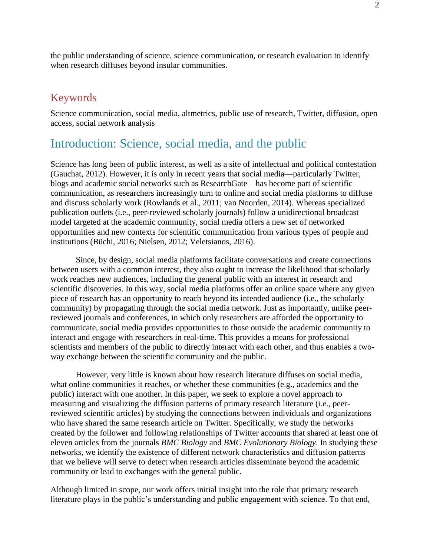the public understanding of science, science communication, or research evaluation to identify when research diffuses beyond insular communities.

### Keywords

Science communication, social media, altmetrics, public use of research, Twitter, diffusion, open access, social network analysis

# Introduction: Science, social media, and the public

Science has long been of public interest, as well as a site of intellectual and political contestation (Gauchat, 2012). However, it is only in recent years that social media—particularly Twitter, blogs and academic social networks such as ResearchGate—has become part of scientific communication, as researchers increasingly turn to online and social media platforms to diffuse and discuss scholarly work (Rowlands et al., 2011; van Noorden, 2014). Whereas specialized publication outlets (i.e., peer-reviewed scholarly journals) follow a unidirectional broadcast model targeted at the academic community, social media offers a new set of networked opportunities and new contexts for scientific communication from various types of people and institutions (Büchi, 2016; Nielsen, 2012; Veletsianos, 2016).

Since, by design, social media platforms facilitate conversations and create connections between users with a common interest, they also ought to increase the likelihood that scholarly work reaches new audiences, including the general public with an interest in research and scientific discoveries. In this way, social media platforms offer an online space where any given piece of research has an opportunity to reach beyond its intended audience (i.e., the scholarly community) by propagating through the social media network. Just as importantly, unlike peerreviewed journals and conferences, in which only researchers are afforded the opportunity to communicate, social media provides opportunities to those outside the academic community to interact and engage with researchers in real-time. This provides a means for professional scientists and members of the public to directly interact with each other, and thus enables a twoway exchange between the scientific community and the public.

However, very little is known about how research literature diffuses on social media, what online communities it reaches, or whether these communities (e.g., academics and the public) interact with one another. In this paper, we seek to explore a novel approach to measuring and visualizing the diffusion patterns of primary research literature (i.e., peerreviewed scientific articles) by studying the connections between individuals and organizations who have shared the same research article on Twitter. Specifically, we study the networks created by the follower and following relationships of Twitter accounts that shared at least one of eleven articles from the journals *BMC Biology* and *BMC Evolutionary Biology*. In studying these networks, we identify the existence of different network characteristics and diffusion patterns that we believe will serve to detect when research articles disseminate beyond the academic community or lead to exchanges with the general public.

Although limited in scope, our work offers initial insight into the role that primary research literature plays in the public's understanding and public engagement with science. To that end,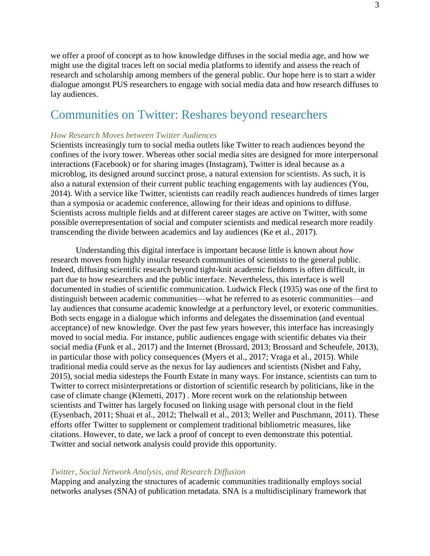we offer a proof of concept as to how knowledge diffuses in the social media age, and how we might use the digital traces left on social media platforms to identify and assess the reach of research and scholarship among members of the general public. Our hope here is to start a wider dialogue amongst PUS researchers to engage with social media data and how research diffuses to lay audiences.

# Communities on Twitter: Reshares beyond researchers

#### *How Research Moves between Twitter Audiences*

Scientists increasingly turn to social media outlets like Twitter to reach audiences beyond the confines of the ivory tower. Whereas other social media sites are designed for more interpersonal interactions (Facebook) or for sharing images (Instagram), Twitter is ideal because as a microblog, its designed around succinct prose, a natural extension for scientists. As such, it is also a natural extension of their current public teaching engagements with lay audiences (You, 2014). With a service like Twitter, scientists can readily reach audiences hundreds of times larger than a symposia or academic conference, allowing for their ideas and opinions to diffuse. Scientists across multiple fields and at different career stages are active on Twitter, with some possible overrepresentation of social and computer scientists and medical research more readily transcending the divide between academics and lay audiences (Ke et al., 2017).

Understanding this digital interface is important because little is known about *how* research moves from highly insular research communities of scientists to the general public. Indeed, diffusing scientific research beyond tight-knit academic fiefdoms is often difficult, in part due to how researchers and the public interface. Nevertheless, this interface is well documented in studies of scientific communication. Ludwick Fleck (1935) was one of the first to distinguish between academic communities—what he referred to as esoteric communities—and lay audiences that consume academic knowledge at a perfunctory level, or exoteric communities. Both sects engage in a dialogue which informs and delegates the dissemination (and eventual acceptance) of new knowledge. Over the past few years however, this interface has increasingly moved to social media. For instance, public audiences engage with scientific debates via their social media (Funk et al., 2017) and the Internet (Brossard, 2013; Brossard and Scheufele, 2013), in particular those with policy consequences (Myers et al., 2017; Vraga et al., 2015). While traditional media could serve as the nexus for lay audiences and scientists (Nisbet and Fahy, 2015), social media sidesteps the Fourth Estate in many ways. For instance, scientists can turn to Twitter to correct misinterpretations or distortion of scientific research by politicians, like in the case of climate change (Klemetti, 2017) . More recent work on the relationship between scientists and Twitter has largely focused on linking usage with personal clout in the field (Eysenbach, 2011; Shuai et al., 2012; Thelwall et al., 2013; Weller and Puschmann, 2011). These efforts offer Twitter to supplement or complement traditional bibliometric measures, like citations. However, to date, we lack a proof of concept to even demonstrate this potential. Twitter and social network analysis could provide this opportunity.

#### *Twitter, Social Network Analysis, and Research Diffusion*

Mapping and analyzing the structures of academic communities traditionally employs social networks analyses (SNA) of publication metadata. SNA is a multidisciplinary framework that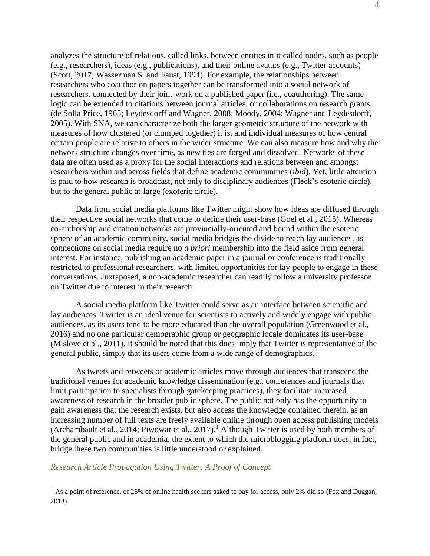analyzes the structure of relations, called links, between entities in it called nodes, such as people (e.g., researchers), ideas (e.g., publications), and their online avatars (e.g., Twitter accounts) (Scott, 2017; Wasserman S. and Faust, 1994). For example, the relationships between researchers who coauthor on papers together can be transformed into a social network of researchers, connected by their joint-work on a published paper (i.e., coauthoring). The same logic can be extended to citations between journal articles, or collaborations on research grants (de Solla Price, 1965; Leydesdorff and Wagner, 2008; Moody, 2004; Wagner and Leydesdorff, 2005). With SNA, we can characterize both the larger geometric structure of the network with measures of how clustered (or clumped together) it is, and individual measures of how central certain people are relative to others in the wider structure. We can also measure how and why the network structure changes over time, as new ties are forged and dissolved. Networks of these data are often used as a proxy for the social interactions and relations between and amongst researchers within and across fields that define academic communities (*ibid*). Yet, little attention is paid to how research is broadcast, not only to disciplinary audiences (Fleck's esoteric circle), but to the general public at-large (exoteric circle).

Data from social media platforms like Twitter might show how ideas are diffused through their respective social networks that come to define their user-base (Goel et al., 2015). Whereas co-authorship and citation networks are provincially-oriented and bound within the esoteric sphere of an academic community, social media bridges the divide to reach lay audiences, as connections on social media require no *a priori* membership into the field aside from general interest. For instance, publishing an academic paper in a journal or conference is traditionally restricted to professional researchers, with limited opportunities for lay-people to engage in these conversations. Juxtaposed, a non-academic researcher can readily follow a university professor on Twitter due to interest in their research.

A social media platform like Twitter could serve as an interface between scientific and lay audiences. Twitter is an ideal venue for scientists to actively and widely engage with public audiences, as its users tend to be more educated than the overall population (Greenwood et al., 2016) and no one particular demographic group or geographic locale dominates its user-base (Mislove et al., 2011). It should be noted that this does imply that Twitter is representative of the general public, simply that its users come from a wide range of demographics.

As tweets and retweets of academic articles move through audiences that transcend the traditional venues for academic knowledge dissemination (e.g., conferences and journals that limit participation to specialists through gatekeeping practices), they facilitate increased awareness of research in the broader public sphere. The public not only has the opportunity to gain awareness that the research exists, but also access the knowledge contained therein, as an increasing number of full texts are freely available online through open access publishing models (Archambault et al., 2014; Piwowar et al., 2017). <sup>1</sup> Although Twitter is used by both members of the general public and in academia, the extent to which the microblogging platform does, in fact, bridge these two communities is little understood or explained.

*Research Article Propagation Using Twitter: A Proof of Concept*

 $1$  As a point of reference, of 26% of online health seekers asked to pay for access, only 2% did so (Fox and Duggan, 2013).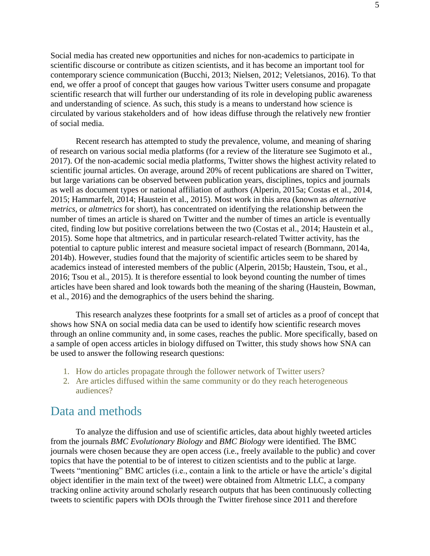Social media has created new opportunities and niches for non-academics to participate in scientific discourse or contribute as citizen scientists, and it has become an important tool for contemporary science communication (Bucchi, 2013; Nielsen, 2012; Veletsianos, 2016). To that end, we offer a proof of concept that gauges how various Twitter users consume and propagate scientific research that will further our understanding of its role in developing public awareness and understanding of science. As such, this study is a means to understand how science is circulated by various stakeholders and of how ideas diffuse through the relatively new frontier of social media.

Recent research has attempted to study the prevalence, volume, and meaning of sharing of research on various social media platforms (for a review of the literature see Sugimoto et al., 2017). Of the non-academic social media platforms, Twitter shows the highest activity related to scientific journal articles. On average, around 20% of recent publications are shared on Twitter, but large variations can be observed between publication years, disciplines, topics and journals as well as document types or national affiliation of authors (Alperin, 2015a; Costas et al., 2014, 2015; Hammarfelt, 2014; Haustein et al., 2015). Most work in this area (known as *alternative metrics,* or *altmetrics* for short), has concentrated on identifying the relationship between the number of times an article is shared on Twitter and the number of times an article is eventually cited, finding low but positive correlations between the two (Costas et al., 2014; Haustein et al., 2015). Some hope that altmetrics, and in particular research-related Twitter activity, has the potential to capture public interest and measure societal impact of research (Bornmann, 2014a, 2014b). However, studies found that the majority of scientific articles seem to be shared by academics instead of interested members of the public (Alperin, 2015b; Haustein, Tsou, et al., 2016; Tsou et al., 2015). It is therefore essential to look beyond counting the number of times articles have been shared and look towards both the meaning of the sharing (Haustein, Bowman, et al., 2016) and the demographics of the users behind the sharing.

This research analyzes these footprints for a small set of articles as a proof of concept that shows how SNA on social media data can be used to identify how scientific research moves through an online community and, in some cases, reaches the public. More specifically, based on a sample of open access articles in biology diffused on Twitter, this study shows how SNA can be used to answer the following research questions:

- 1. How do articles propagate through the follower network of Twitter users?
- 2. Are articles diffused within the same community or do they reach heterogeneous audiences?

### Data and methods

To analyze the diffusion and use of scientific articles, data about highly tweeted articles from the journals *BMC Evolutionary Biology* and *BMC Biology* were identified. The BMC journals were chosen because they are open access (i.e., freely available to the public) and cover topics that have the potential to be of interest to citizen scientists and to the public at large. Tweets "mentioning" BMC articles (i.e., contain a link to the article or have the article's digital object identifier in the main text of the tweet) were obtained from Altmetric LLC, a company tracking online activity around scholarly research outputs that has been continuously collecting tweets to scientific papers with DOIs through the Twitter firehose since 2011 and therefore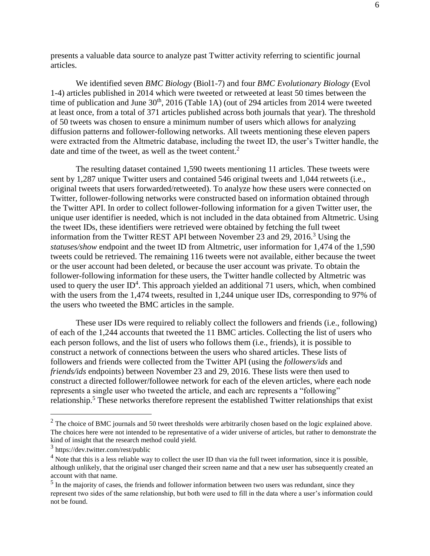presents a valuable data source to analyze past Twitter activity referring to scientific journal articles.

We identified seven *BMC Biology* (Biol1-7) and four *BMC Evolutionary Biology* (Evol 1-4) articles published in 2014 which were tweeted or retweeted at least 50 times between the time of publication and June  $30<sup>th</sup>$ , 2016 (Table 1A) (out of 294 articles from 2014 were tweeted at least once, from a total of 371 articles published across both journals that year). The threshold of 50 tweets was chosen to ensure a minimum number of users which allows for analyzing diffusion patterns and follower-following networks. All tweets mentioning these eleven papers were extracted from the Altmetric database, including the tweet ID, the user's Twitter handle, the date and time of the tweet, as well as the tweet content.<sup>2</sup>

The resulting dataset contained 1,590 tweets mentioning 11 articles. These tweets were sent by 1,287 unique Twitter users and contained 546 original tweets and 1,044 retweets (i.e., original tweets that users forwarded/retweeted). To analyze how these users were connected on Twitter, follower-following networks were constructed based on information obtained through the Twitter API. In order to collect follower-following information for a given Twitter user, the unique user identifier is needed, which is not included in the data obtained from Altmetric. Using the tweet IDs, these identifiers were retrieved were obtained by fetching the full tweet information from the Twitter REST API between November 23 and 29, 2016.<sup>3</sup> Using the *statuses/show* endpoint and the tweet ID from Altmetric, user information for 1,474 of the 1,590 tweets could be retrieved. The remaining 116 tweets were not available, either because the tweet or the user account had been deleted, or because the user account was private. To obtain the follower-following information for these users, the Twitter handle collected by Altmetric was used to query the user  $ID<sup>4</sup>$ . This approach yielded an additional 71 users, which, when combined with the users from the 1,474 tweets, resulted in 1,244 unique user IDs, corresponding to 97% of the users who tweeted the BMC articles in the sample.

These user IDs were required to reliably collect the followers and friends (i.e., following) of each of the 1,244 accounts that tweeted the 11 BMC articles. Collecting the list of users who each person follows, and the list of users who follows them (i.e., friends), it is possible to construct a network of connections between the users who shared articles. These lists of followers and friends were collected from the Twitter API (using the *followers/ids* and *friends/ids* endpoints) between November 23 and 29, 2016. These lists were then used to construct a directed follower/followee network for each of the eleven articles, where each node represents a single user who tweeted the article, and each arc represents a "following" relationship.<sup>5</sup> These networks therefore represent the established Twitter relationships that exist

 $2$  The choice of BMC journals and 50 tweet thresholds were arbitrarily chosen based on the logic explained above. The choices here were not intended to be representative of a wider universe of articles, but rather to demonstrate the kind of insight that the research method could yield.

<sup>3</sup> https://dev.twitter.com/rest/public

 $<sup>4</sup>$  Note that this is a less reliable way to collect the user ID than via the full tweet information, since it is possible,</sup> although unlikely, that the original user changed their screen name and that a new user has subsequently created an account with that name.

<sup>&</sup>lt;sup>5</sup> In the majority of cases, the friends and follower information between two users was redundant, since they represent two sides of the same relationship, but both were used to fill in the data where a user's information could not be found.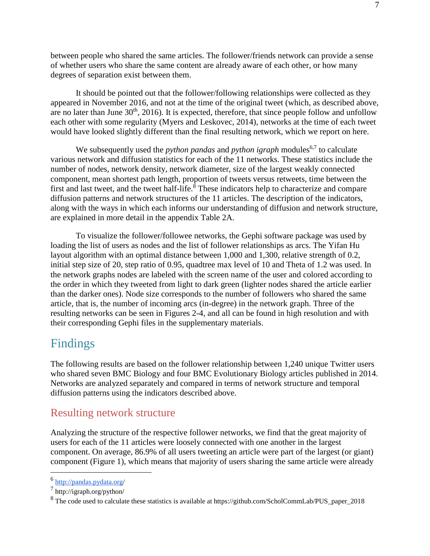between people who shared the same articles. The follower/friends network can provide a sense of whether users who share the same content are already aware of each other, or how many degrees of separation exist between them.

It should be pointed out that the follower/following relationships were collected as they appeared in November 2016, and not at the time of the original tweet (which, as described above, are no later than June  $30<sup>th</sup>$ ,  $2016$ ). It is expected, therefore, that since people follow and unfollow each other with some regularity (Myers and Leskovec, 2014), networks at the time of each tweet would have looked slightly different than the final resulting network, which we report on here.

We subsequently used the *python pandas* and *python igraph* modules<sup>6,7</sup> to calculate various network and diffusion statistics for each of the 11 networks. These statistics include the number of nodes, network density, network diameter, size of the largest weakly connected component, mean shortest path length, proportion of tweets versus retweets, time between the first and last tweet, and the tweet half-life.<sup>8</sup> These indicators help to characterize and compare diffusion patterns and network structures of the 11 articles. The description of the indicators, along with the ways in which each informs our understanding of diffusion and network structure, are explained in more detail in the appendix Table 2A.

To visualize the follower/followee networks, the Gephi software package was used by loading the list of users as nodes and the list of follower relationships as arcs. The Yifan Hu layout algorithm with an optimal distance between 1,000 and 1,300, relative strength of 0.2, initial step size of 20, step ratio of 0.95, quadtree max level of 10 and Theta of 1.2 was used. In the network graphs nodes are labeled with the screen name of the user and colored according to the order in which they tweeted from light to dark green (lighter nodes shared the article earlier than the darker ones). Node size corresponds to the number of followers who shared the same article, that is, the number of incoming arcs (in-degree) in the network graph. Three of the resulting networks can be seen in Figures 2-4, and all can be found in high resolution and with their corresponding Gephi files in the supplementary materials.

# Findings

The following results are based on the follower relationship between 1,240 unique Twitter users who shared seven BMC Biology and four BMC Evolutionary Biology articles published in 2014. Networks are analyzed separately and compared in terms of network structure and temporal diffusion patterns using the indicators described above.

### Resulting network structure

Analyzing the structure of the respective follower networks, we find that the great majority of users for each of the 11 articles were loosely connected with one another in the largest component. On average, 86.9% of all users tweeting an article were part of the largest (or giant) component (Figure 1), which means that majority of users sharing the same article were already

<sup>&</sup>lt;sup>6</sup> <http://pandas.pydata.org/>

<sup>7</sup> http://igraph.org/python/

<sup>&</sup>lt;sup>8</sup> The code used to calculate these statistics is available at https://github.com/ScholCommLab/PUS\_paper\_2018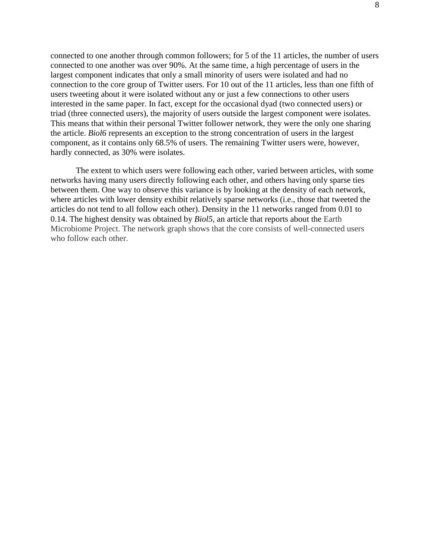connected to one another through common followers; for 5 of the 11 articles, the number of users connected to one another was over 90%. At the same time, a high percentage of users in the largest component indicates that only a small minority of users were isolated and had no connection to the core group of Twitter users. For 10 out of the 11 articles, less than one fifth of users tweeting about it were isolated without any or just a few connections to other users interested in the same paper. In fact, except for the occasional dyad (two connected users) or triad (three connected users), the majority of users outside the largest component were isolates. This means that within their personal Twitter follower network, they were the only one sharing the article. *Biol6* represents an exception to the strong concentration of users in the largest component, as it contains only 68.5% of users. The remaining Twitter users were, however, hardly connected, as 30% were isolates.

The extent to which users were following each other, varied between articles, with some networks having many users directly following each other, and others having only sparse ties between them. One way to observe this variance is by looking at the density of each network, where articles with lower density exhibit relatively sparse networks (i.e., those that tweeted the articles do not tend to all follow each other). Density in the 11 networks ranged from 0.01 to 0.14. The highest density was obtained by *Biol5*, an article that reports about the Earth Microbiome Project. The network graph shows that the core consists of well-connected users who follow each other.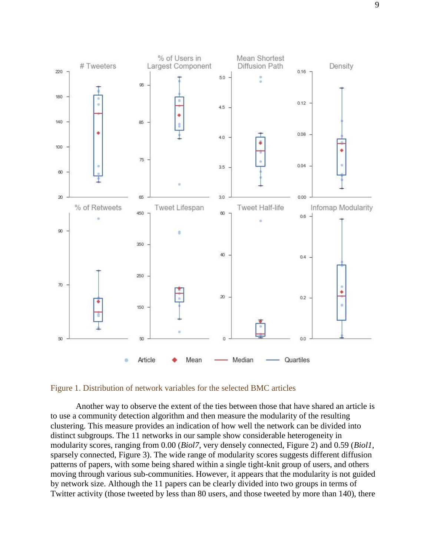

#### Figure 1. Distribution of network variables for the selected BMC articles

Another way to observe the extent of the ties between those that have shared an article is to use a community detection algorithm and then measure the modularity of the resulting clustering. This measure provides an indication of how well the network can be divided into distinct subgroups. The 11 networks in our sample show considerable heterogeneity in modularity scores, ranging from 0.00 (*Biol7*, very densely connected, Figure 2) and 0.59 (*Biol1*, sparsely connected, Figure 3). The wide range of modularity scores suggests different diffusion patterns of papers, with some being shared within a single tight-knit group of users, and others moving through various sub-communities. However, it appears that the modularity is not guided by network size. Although the 11 papers can be clearly divided into two groups in terms of Twitter activity (those tweeted by less than 80 users, and those tweeted by more than 140), there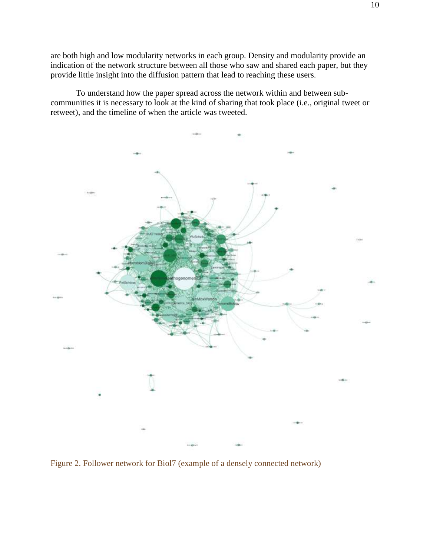are both high and low modularity networks in each group. Density and modularity provide an indication of the network structure between all those who saw and shared each paper, but they provide little insight into the diffusion pattern that lead to reaching these users.

To understand how the paper spread across the network within and between subcommunities it is necessary to look at the kind of sharing that took place (i.e., original tweet or retweet), and the timeline of when the article was tweeted.



Figure 2. Follower network for Biol7 (example of a densely connected network)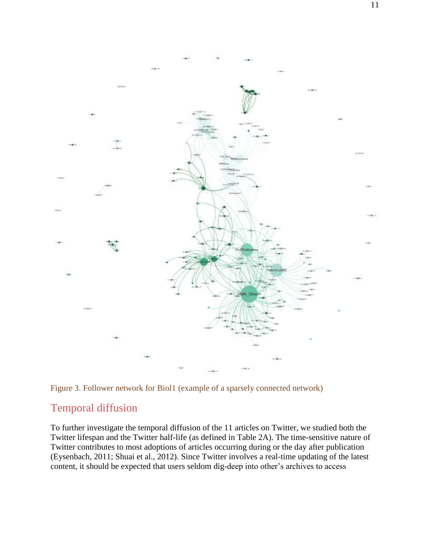

Figure 3. Follower network for Biol1 (example of a sparsely connected network)

### Temporal diffusion

To further investigate the temporal diffusion of the 11 articles on Twitter, we studied both the Twitter lifespan and the Twitter half-life (as defined in Table 2A). The time-sensitive nature of Twitter contributes to most adoptions of articles occurring during or the day after publication (Eysenbach, 2011; Shuai et al., 2012). Since Twitter involves a real-time updating of the latest content, it should be expected that users seldom dig-deep into other's archives to access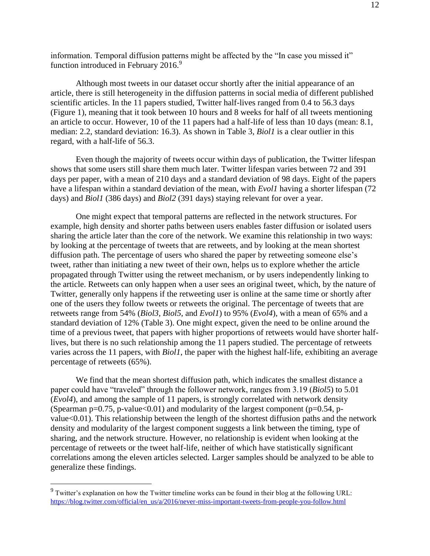information. Temporal diffusion patterns might be affected by the "In case you missed it" function introduced in February 2016.<sup>9</sup>

Although most tweets in our dataset occur shortly after the initial appearance of an article, there is still heterogeneity in the diffusion patterns in social media of different published scientific articles. In the 11 papers studied, Twitter half-lives ranged from 0.4 to 56.3 days (Figure 1), meaning that it took between 10 hours and 8 weeks for half of all tweets mentioning an article to occur. However, 10 of the 11 papers had a half-life of less than 10 days (mean: 8.1, median: 2.2, standard deviation: 16.3). As shown in Table 3, *Biol1* is a clear outlier in this regard, with a half-life of 56.3.

Even though the majority of tweets occur within days of publication, the Twitter lifespan shows that some users still share them much later. Twitter lifespan varies between 72 and 391 days per paper, with a mean of 210 days and a standard deviation of 98 days. Eight of the papers have a lifespan within a standard deviation of the mean, with *Evol1* having a shorter lifespan (72 days) and *Biol1* (386 days) and *Biol2* (391 days) staying relevant for over a year.

One might expect that temporal patterns are reflected in the network structures. For example, high density and shorter paths between users enables faster diffusion or isolated users sharing the article later than the core of the network. We examine this relationship in two ways: by looking at the percentage of tweets that are retweets, and by looking at the mean shortest diffusion path. The percentage of users who shared the paper by retweeting someone else's tweet, rather than initiating a new tweet of their own, helps us to explore whether the article propagated through Twitter using the retweet mechanism, or by users independently linking to the article. Retweets can only happen when a user sees an original tweet, which, by the nature of Twitter, generally only happens if the retweeting user is online at the same time or shortly after one of the users they follow tweets or retweets the original. The percentage of tweets that are retweets range from 54% (*Biol3*, *Biol5*, and *Evol1*) to 95% (*Evol4*), with a mean of 65% and a standard deviation of 12% (Table 3). One might expect, given the need to be online around the time of a previous tweet, that papers with higher proportions of retweets would have shorter halflives, but there is no such relationship among the 11 papers studied. The percentage of retweets varies across the 11 papers, with *Biol1*, the paper with the highest half-life, exhibiting an average percentage of retweets (65%).

We find that the mean shortest diffusion path, which indicates the smallest distance a paper could have "traveled" through the follower network, ranges from 3.19 (*Biol5*) to 5.01 (*Evol4*), and among the sample of 11 papers, is strongly correlated with network density (Spearman p=0.75, p-value<0.01) and modularity of the largest component (p=0.54, pvalue<0.01). This relationship between the length of the shortest diffusion paths and the network density and modularity of the largest component suggests a link between the timing, type of sharing, and the network structure. However, no relationship is evident when looking at the percentage of retweets or the tweet half-life, neither of which have statistically significant correlations among the eleven articles selected. Larger samples should be analyzed to be able to generalize these findings.

<sup>&</sup>lt;sup>9</sup> Twitter's explanation on how the Twitter timeline works can be found in their blog at the following URL: [https://blog.twitter.com/official/en\\_us/a/2016/never-miss-important-tweets-from-people-you-follow.html](https://blog.twitter.com/official/en_us/a/2016/never-miss-important-tweets-from-people-you-follow.html)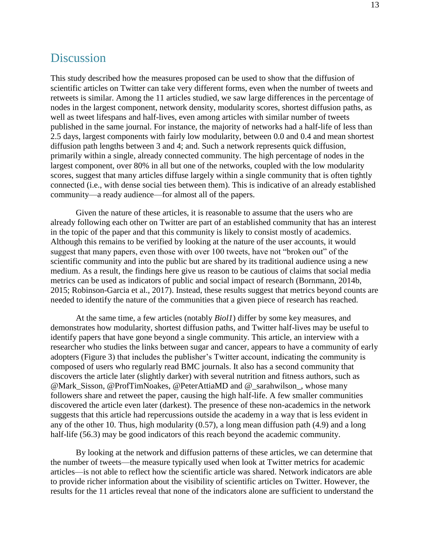# **Discussion**

This study described how the measures proposed can be used to show that the diffusion of scientific articles on Twitter can take very different forms, even when the number of tweets and retweets is similar. Among the 11 articles studied, we saw large differences in the percentage of nodes in the largest component, network density, modularity scores, shortest diffusion paths, as well as tweet lifespans and half-lives, even among articles with similar number of tweets published in the same journal. For instance, the majority of networks had a half-life of less than 2.5 days, largest components with fairly low modularity, between 0.0 and 0.4 and mean shortest diffusion path lengths between 3 and 4; and. Such a network represents quick diffusion, primarily within a single, already connected community. The high percentage of nodes in the largest component, over 80% in all but one of the networks, coupled with the low modularity scores, suggest that many articles diffuse largely within a single community that is often tightly connected (i.e., with dense social ties between them). This is indicative of an already established community—a ready audience—for almost all of the papers.

Given the nature of these articles, it is reasonable to assume that the users who are already following each other on Twitter are part of an established community that has an interest in the topic of the paper and that this community is likely to consist mostly of academics. Although this remains to be verified by looking at the nature of the user accounts, it would suggest that many papers, even those with over 100 tweets, have not "broken out" of the scientific community and into the public but are shared by its traditional audience using a new medium. As a result, the findings here give us reason to be cautious of claims that social media metrics can be used as indicators of public and social impact of research (Bornmann, 2014b, 2015; Robinson-Garcia et al., 2017). Instead, these results suggest that metrics beyond counts are needed to identify the nature of the communities that a given piece of research has reached.

At the same time, a few articles (notably *Biol1*) differ by some key measures, and demonstrates how modularity, shortest diffusion paths, and Twitter half-lives may be useful to identify papers that have gone beyond a single community. This article, an interview with a researcher who studies the links between sugar and cancer, appears to have a community of early adopters (Figure 3) that includes the publisher's Twitter account, indicating the community is composed of users who regularly read BMC journals. It also has a second community that discovers the article later (slightly darker) with several nutrition and fitness authors, such as @Mark\_Sisson, @ProfTimNoakes, @PeterAttiaMD and @\_sarahwilson\_, whose many followers share and retweet the paper, causing the high half-life. A few smaller communities discovered the article even later (darkest). The presence of these non-academics in the network suggests that this article had repercussions outside the academy in a way that is less evident in any of the other 10. Thus, high modularity (0.57), a long mean diffusion path (4.9) and a long half-life (56.3) may be good indicators of this reach beyond the academic community.

By looking at the network and diffusion patterns of these articles, we can determine that the number of tweets—the measure typically used when look at Twitter metrics for academic articles—is not able to reflect how the scientific article was shared. Network indicators are able to provide richer information about the visibility of scientific articles on Twitter. However, the results for the 11 articles reveal that none of the indicators alone are sufficient to understand the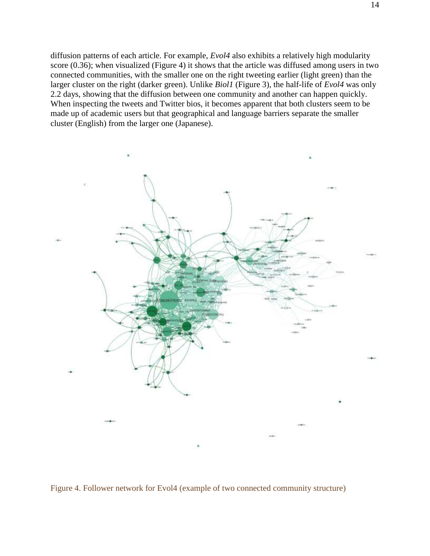diffusion patterns of each article. For example, *Evol4* also exhibits a relatively high modularity score (0.36); when visualized (Figure 4) it shows that the article was diffused among users in two connected communities, with the smaller one on the right tweeting earlier (light green) than the larger cluster on the right (darker green). Unlike *Biol1* (Figure 3), the half-life of *Evol4* was only 2.2 days, showing that the diffusion between one community and another can happen quickly. When inspecting the tweets and Twitter bios, it becomes apparent that both clusters seem to be made up of academic users but that geographical and language barriers separate the smaller cluster (English) from the larger one (Japanese).



Figure 4. Follower network for Evol4 (example of two connected community structure)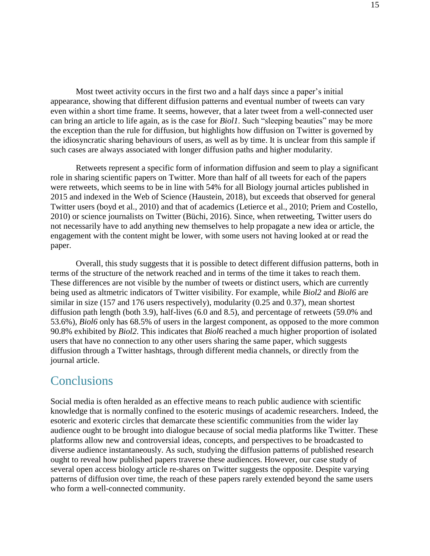Most tweet activity occurs in the first two and a half days since a paper's initial appearance, showing that different diffusion patterns and eventual number of tweets can vary even within a short time frame. It seems, however, that a later tweet from a well-connected user can bring an article to life again, as is the case for *Biol1*. Such "sleeping beauties" may be more the exception than the rule for diffusion, but highlights how diffusion on Twitter is governed by the idiosyncratic sharing behaviours of users, as well as by time. It is unclear from this sample if such cases are always associated with longer diffusion paths and higher modularity.

Retweets represent a specific form of information diffusion and seem to play a significant role in sharing scientific papers on Twitter. More than half of all tweets for each of the papers were retweets, which seems to be in line with 54% for all Biology journal articles published in 2015 and indexed in the Web of Science (Haustein, 2018), but exceeds that observed for general Twitter users (boyd et al., 2010) and that of academics (Letierce et al., 2010; Priem and Costello, 2010) or science journalists on Twitter (Büchi, 2016). Since, when retweeting, Twitter users do not necessarily have to add anything new themselves to help propagate a new idea or article, the engagement with the content might be lower, with some users not having looked at or read the paper.

Overall, this study suggests that it is possible to detect different diffusion patterns, both in terms of the structure of the network reached and in terms of the time it takes to reach them. These differences are not visible by the number of tweets or distinct users, which are currently being used as altmetric indicators of Twitter visibility. For example, while *Biol2* and *Biol6* are similar in size (157 and 176 users respectively), modularity (0.25 and 0.37), mean shortest diffusion path length (both 3.9), half-lives (6.0 and 8.5), and percentage of retweets (59.0% and 53.6%), *Biol6* only has 68.5% of users in the largest component, as opposed to the more common 90.8% exhibited by *Biol2*. This indicates that *Biol6* reached a much higher proportion of isolated users that have no connection to any other users sharing the same paper, which suggests diffusion through a Twitter hashtags, through different media channels, or directly from the journal article.

# **Conclusions**

Social media is often heralded as an effective means to reach public audience with scientific knowledge that is normally confined to the esoteric musings of academic researchers. Indeed, the esoteric and exoteric circles that demarcate these scientific communities from the wider lay audience ought to be brought into dialogue because of social media platforms like Twitter. These platforms allow new and controversial ideas, concepts, and perspectives to be broadcasted to diverse audience instantaneously. As such, studying the diffusion patterns of published research ought to reveal how published papers traverse these audiences. However, our case study of several open access biology article re-shares on Twitter suggests the opposite. Despite varying patterns of diffusion over time, the reach of these papers rarely extended beyond the same users who form a well-connected community.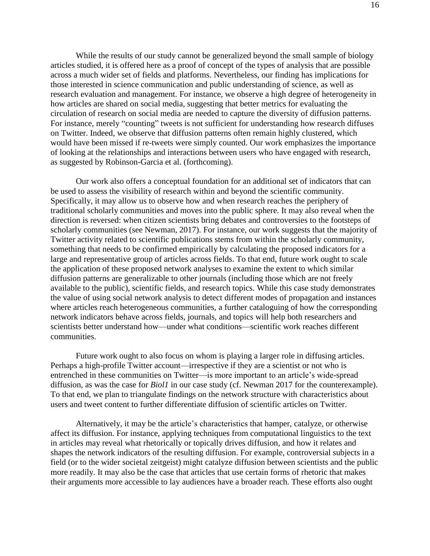While the results of our study cannot be generalized beyond the small sample of biology articles studied, it is offered here as a proof of concept of the types of analysis that are possible across a much wider set of fields and platforms. Nevertheless, our finding has implications for those interested in science communication and public understanding of science, as well as research evaluation and management. For instance, we observe a high degree of heterogeneity in how articles are shared on social media, suggesting that better metrics for evaluating the circulation of research on social media are needed to capture the diversity of diffusion patterns. For instance, merely "counting" tweets is not sufficient for understanding how research diffuses on Twitter. Indeed, we observe that diffusion patterns often remain highly clustered, which would have been missed if re-tweets were simply counted. Our work emphasizes the importance of looking at the relationships and interactions between users who have engaged with research, as suggested by Robinson-Garcia et al. (forthcoming).

Our work also offers a conceptual foundation for an additional set of indicators that can be used to assess the visibility of research within and beyond the scientific community. Specifically, it may allow us to observe how and when research reaches the periphery of traditional scholarly communities and moves into the public sphere. It may also reveal when the direction is reversed: when citizen scientists bring debates and controversies to the footsteps of scholarly communities (see Newman, 2017). For instance, our work suggests that the majority of Twitter activity related to scientific publications stems from within the scholarly community, something that needs to be confirmed empirically by calculating the proposed indicators for a large and representative group of articles across fields. To that end, future work ought to scale the application of these proposed network analyses to examine the extent to which similar diffusion patterns are generalizable to other journals (including those which are not freely available to the public), scientific fields, and research topics. While this case study demonstrates the value of using social network analysis to detect different modes of propagation and instances where articles reach heterogeneous communities, a further cataloguing of how the corresponding network indicators behave across fields, journals, and topics will help both researchers and scientists better understand how—under what conditions—scientific work reaches different communities.

Future work ought to also focus on whom is playing a larger role in diffusing articles. Perhaps a high-profile Twitter account—irrespective if they are a scientist or not who is entrenched in these communities on Twitter—is more important to an article's wide-spread diffusion, as was the case for *Biol1* in our case study (cf. Newman 2017 for the counterexample). To that end, we plan to triangulate findings on the network structure with characteristics about users and tweet content to further differentiate diffusion of scientific articles on Twitter.

Alternatively, it may be the article's characteristics that hamper, catalyze, or otherwise affect its diffusion. For instance, applying techniques from computational linguistics to the text in articles may reveal what rhetorically or topically drives diffusion, and how it relates and shapes the network indicators of the resulting diffusion. For example, controversial subjects in a field (or to the wider societal zeitgeist) might catalyze diffusion between scientists and the public more readily. It may also be the case that articles that use certain forms of rhetoric that makes their arguments more accessible to lay audiences have a broader reach. These efforts also ought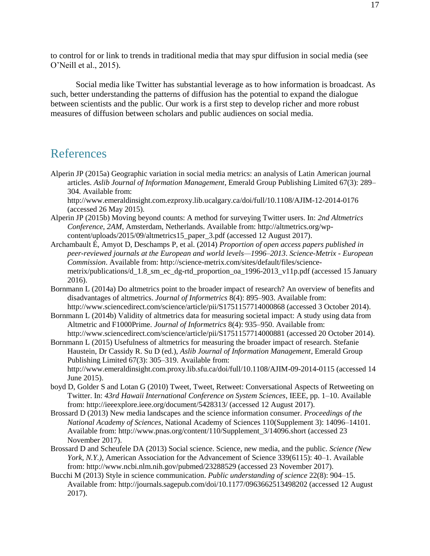to control for or link to trends in traditional media that may spur diffusion in social media (see O'Neill et al., 2015).

Social media like Twitter has substantial leverage as to how information is broadcast. As such, better understanding the patterns of diffusion has the potential to expand the dialogue between scientists and the public. Our work is a first step to develop richer and more robust measures of diffusion between scholars and public audiences on social media.

## References

Alperin JP (2015a) Geographic variation in social media metrics: an analysis of Latin American journal articles. *Aslib Journal of Information Management*, Emerald Group Publishing Limited 67(3): 289– 304. Available from:

http://www.emeraldinsight.com.ezproxy.lib.ucalgary.ca/doi/full/10.1108/AJIM-12-2014-0176 (accessed 26 May 2015).

- Alperin JP (2015b) Moving beyond counts: A method for surveying Twitter users. In: *2nd Altmetrics Conference, 2AM*, Amsterdam, Netherlands. Available from: http://altmetrics.org/wpcontent/uploads/2015/09/altmetrics15\_paper\_3.pdf (accessed 12 August 2017).
- Archambault É, Amyot D, Deschamps P, et al. (2014) *Proportion of open access papers published in peer-reviewed journals at the European and world levels—1996–2013*. *Science-Metrix - European Commission*. Available from: http://science-metrix.com/sites/default/files/sciencemetrix/publications/d 1.8 sm\_ec\_dg-rtd\_proportion\_oa\_1996-2013\_v11p.pdf (accessed 15 January 2016).
- Bornmann L (2014a) Do altmetrics point to the broader impact of research? An overview of benefits and disadvantages of altmetrics. *Journal of Informetrics* 8(4): 895–903. Available from: http://www.sciencedirect.com/science/article/pii/S1751157714000868 (accessed 3 October 2014).
- Bornmann L (2014b) Validity of altmetrics data for measuring societal impact: A study using data from Altmetric and F1000Prime. *Journal of Informetrics* 8(4): 935–950. Available from: http://www.sciencedirect.com/science/article/pii/S1751157714000881 (accessed 20 October 2014).
- Bornmann L (2015) Usefulness of altmetrics for measuring the broader impact of research. Stefanie Haustein, Dr Cassidy R. Su D (ed.), *Aslib Journal of Information Management*, Emerald Group Publishing Limited 67(3): 305–319. Available from: http://www.emeraldinsight.com.proxy.lib.sfu.ca/doi/full/10.1108/AJIM-09-2014-0115 (accessed 14 June 2015).
- boyd D, Golder S and Lotan G (2010) Tweet, Tweet, Retweet: Conversational Aspects of Retweeting on Twitter. In: *43rd Hawaii International Conference on System Sciences*, IEEE, pp. 1–10. Available from: http://ieeexplore.ieee.org/document/5428313/ (accessed 12 August 2017).
- Brossard D (2013) New media landscapes and the science information consumer. *Proceedings of the National Academy of Sciences*, National Academy of Sciences 110(Supplement 3): 14096–14101. Available from: http://www.pnas.org/content/110/Supplement\_3/14096.short (accessed 23 November 2017).
- Brossard D and Scheufele DA (2013) Social science. Science, new media, and the public. *Science (New York, N.Y.)*, American Association for the Advancement of Science 339(6115): 40–1. Available from: http://www.ncbi.nlm.nih.gov/pubmed/23288529 (accessed 23 November 2017).
- Bucchi M (2013) Style in science communication. *Public understanding of science* 22(8): 904–15. Available from: http://journals.sagepub.com/doi/10.1177/0963662513498202 (accessed 12 August 2017).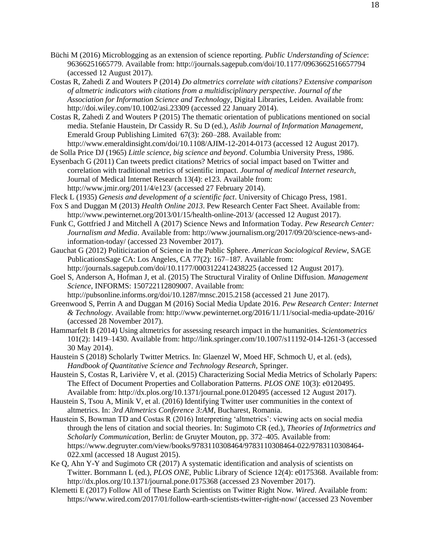- Büchi M (2016) Microblogging as an extension of science reporting. *Public Understanding of Science*: 96366251665779. Available from: http://journals.sagepub.com/doi/10.1177/0963662516657794 (accessed 12 August 2017).
- Costas R, Zahedi Z and Wouters P (2014) *Do altmetrics correlate with citations? Extensive comparison of altmetric indicators with citations from a multidisciplinary perspective*. *Journal of the Association for Information Science and Technology*, Digital Libraries, Leiden. Available from: http://doi.wiley.com/10.1002/asi.23309 (accessed 22 January 2014).
- Costas R, Zahedi Z and Wouters P (2015) The thematic orientation of publications mentioned on social media. Stefanie Haustein, Dr Cassidy R. Su D (ed.), *Aslib Journal of Information Management*, Emerald Group Publishing Limited 67(3): 260–288. Available from:

http://www.emeraldinsight.com/doi/10.1108/AJIM-12-2014-0173 (accessed 12 August 2017).

- de Solla Price DJ (1965) *Little science, big science and beyond*. Columbia University Press, 1986. Eysenbach G (2011) Can tweets predict citations? Metrics of social impact based on Twitter and correlation with traditional metrics of scientific impact. *Journal of medical Internet research*,
- Journal of Medical Internet Research 13(4): e123. Available from: http://www.jmir.org/2011/4/e123/ (accessed 27 February 2014).
- Fleck L (1935) *Genesis and development of a scientific fact*. University of Chicago Press, 1981.
- Fox S and Duggan M (2013) *Health Online 2013*. Pew Research Center Fact Sheet. Available from: http://www.pewinternet.org/2013/01/15/health-online-2013/ (accessed 12 August 2017).
- Funk C, Gottfried J and Mitchell A (2017) Science News and Information Today. *Pew Research Center: Journalism and Media*. Available from: http://www.journalism.org/2017/09/20/science-news-andinformation-today/ (accessed 23 November 2017).
- Gauchat G (2012) Politicization of Science in the Public Sphere. *American Sociological Review*, SAGE PublicationsSage CA: Los Angeles, CA 77(2): 167–187. Available from: http://journals.sagepub.com/doi/10.1177/0003122412438225 (accessed 12 August 2017).
- Goel S, Anderson A, Hofman J, et al. (2015) The Structural Virality of Online Diffusion. *Management Science*, INFORMS: 150722112809007. Available from: http://pubsonline.informs.org/doi/10.1287/mnsc.2015.2158 (accessed 21 June 2017).
- Greenwood S, Perrin A and Duggan M (2016) Social Media Update 2016. *Pew Research Center: Internet & Technology*. Available from: http://www.pewinternet.org/2016/11/11/social-media-update-2016/ (accessed 28 November 2017).
- Hammarfelt B (2014) Using altmetrics for assessing research impact in the humanities. *Scientometrics* 101(2): 1419–1430. Available from: http://link.springer.com/10.1007/s11192-014-1261-3 (accessed 30 May 2014).
- Haustein S (2018) Scholarly Twitter Metrics. In: Glaenzel W, Moed HF, Schmoch U, et al. (eds), *Handbook of Quantitative Science and Technology Research*, Springer.
- Haustein S, Costas R, Larivière V, et al. (2015) Characterizing Social Media Metrics of Scholarly Papers: The Effect of Document Properties and Collaboration Patterns. *PLOS ONE* 10(3): e0120495. Available from: http://dx.plos.org/10.1371/journal.pone.0120495 (accessed 12 August 2017).
- Haustein S, Tsou A, Minik V, et al. (2016) Identifying Twitter user communities in the context of altmetrics. In: *3rd Altmetrics Conference 3:AM*, Bucharest, Romania.
- Haustein S, Bowman TD and Costas R (2016) Interpreting 'altmetrics': viewing acts on social media through the lens of citation and social theories. In: Sugimoto CR (ed.), *Theories of Informetrics and Scholarly Communication*, Berlin: de Gruyter Mouton, pp. 372–405. Available from: https://www.degruyter.com/view/books/9783110308464/9783110308464-022/9783110308464- 022.xml (accessed 18 August 2015).
- Ke Q, Ahn Y-Y and Sugimoto CR (2017) A systematic identification and analysis of scientists on Twitter. Bornmann L (ed.), *PLOS ONE*, Public Library of Science 12(4): e0175368. Available from: http://dx.plos.org/10.1371/journal.pone.0175368 (accessed 23 November 2017).
- Klemetti E (2017) Follow All of These Earth Scientists on Twitter Right Now. *Wired*. Available from: https://www.wired.com/2017/01/follow-earth-scientists-twitter-right-now/ (accessed 23 November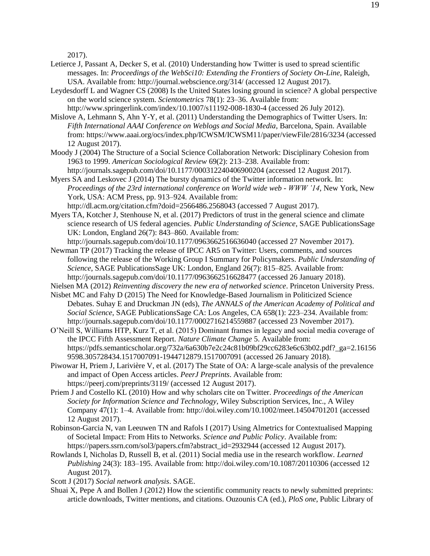2017).

- Letierce J, Passant A, Decker S, et al. (2010) Understanding how Twitter is used to spread scientific messages. In: *Proceedings of the WebSci10: Extending the Frontiers of Society On-Line*, Raleigh, USA. Available from: http://journal.webscience.org/314/ (accessed 12 August 2017).
- Leydesdorff L and Wagner CS (2008) Is the United States losing ground in science? A global perspective on the world science system. *Scientometrics* 78(1): 23–36. Available from: http://www.springerlink.com/index/10.1007/s11192-008-1830-4 (accessed 26 July 2012).
- Mislove A, Lehmann S, Ahn Y-Y, et al. (2011) Understanding the Demographics of Twitter Users. In: *Fifth International AAAI Conference on Weblogs and Social Media*, Barcelona, Spain. Available from: https://www.aaai.org/ocs/index.php/ICWSM/ICWSM11/paper/viewFile/2816/3234 (accessed 12 August 2017).
- Moody J (2004) The Structure of a Social Science Collaboration Network: Disciplinary Cohesion from 1963 to 1999. *American Sociological Review* 69(2): 213–238. Available from: http://journals.sagepub.com/doi/10.1177/000312240406900204 (accessed 12 August 2017).
- Myers SA and Leskovec J (2014) The bursty dynamics of the Twitter information network. In: *Proceedings of the 23rd international conference on World wide web - WWW '14*, New York, New York, USA: ACM Press, pp. 913–924. Available from: http://dl.acm.org/citation.cfm?doid=2566486.2568043 (accessed 7 August 2017).
- Myers TA, Kotcher J, Stenhouse N, et al. (2017) Predictors of trust in the general science and climate science research of US federal agencies. *Public Understanding of Science*, SAGE PublicationsSage UK: London, England 26(7): 843–860. Available from:
- http://journals.sagepub.com/doi/10.1177/0963662516636040 (accessed 27 November 2017). Newman TP (2017) Tracking the release of IPCC AR5 on Twitter: Users, comments, and sources following the release of the Working Group I Summary for Policymakers. *Public Understanding of Science*, SAGE PublicationsSage UK: London, England 26(7): 815–825. Available from: http://journals.sagepub.com/doi/10.1177/0963662516628477 (accessed 26 January 2018).
- Nielsen MA (2012) *Reinventing discovery the new era of networked science*. Princeton University Press.
- Nisbet MC and Fahy D (2015) The Need for Knowledge-Based Journalism in Politicized Science Debates. Suhay E and Druckman JN (eds), *The ANNALS of the American Academy of Political and Social Science*, SAGE PublicationsSage CA: Los Angeles, CA 658(1): 223–234. Available from: http://journals.sagepub.com/doi/10.1177/0002716214559887 (accessed 23 November 2017).
- O'Neill S, Williams HTP, Kurz T, et al. (2015) Dominant frames in legacy and social media coverage of the IPCC Fifth Assessment Report. *Nature Climate Change* 5. Available from: https://pdfs.semanticscholar.org/732a/6a630b7e2c24c81b09bf29cc6283e6c63b02.pdf?\_ga=2.16156 9598.305728434.1517007091-1944712879.1517007091 (accessed 26 January 2018).
- Piwowar H, Priem J, Larivière V, et al. (2017) The State of OA: A large-scale analysis of the prevalence and impact of Open Access articles. *PeerJ Preprints*. Available from: https://peerj.com/preprints/3119/ (accessed 12 August 2017).
- Priem J and Costello KL (2010) How and why scholars cite on Twitter. *Proceedings of the American Society for Information Science and Technology*, Wiley Subscription Services, Inc., A Wiley Company 47(1): 1–4. Available from: http://doi.wiley.com/10.1002/meet.14504701201 (accessed 12 August 2017).
- Robinson-Garcia N, van Leeuwen TN and Rafols I (2017) Using Almetrics for Contextualised Mapping of Societal Impact: From Hits to Networks. *Science and Public Policy*. Available from: https://papers.ssrn.com/sol3/papers.cfm?abstract\_id=2932944 (accessed 12 August 2017).
- Rowlands I, Nicholas D, Russell B, et al. (2011) Social media use in the research workflow. *Learned Publishing* 24(3): 183–195. Available from: http://doi.wiley.com/10.1087/20110306 (accessed 12 August 2017).
- Scott J (2017) *Social network analysis*. SAGE.
- Shuai X, Pepe A and Bollen J (2012) How the scientific community reacts to newly submitted preprints: article downloads, Twitter mentions, and citations. Ouzounis CA (ed.), *PloS one*, Public Library of